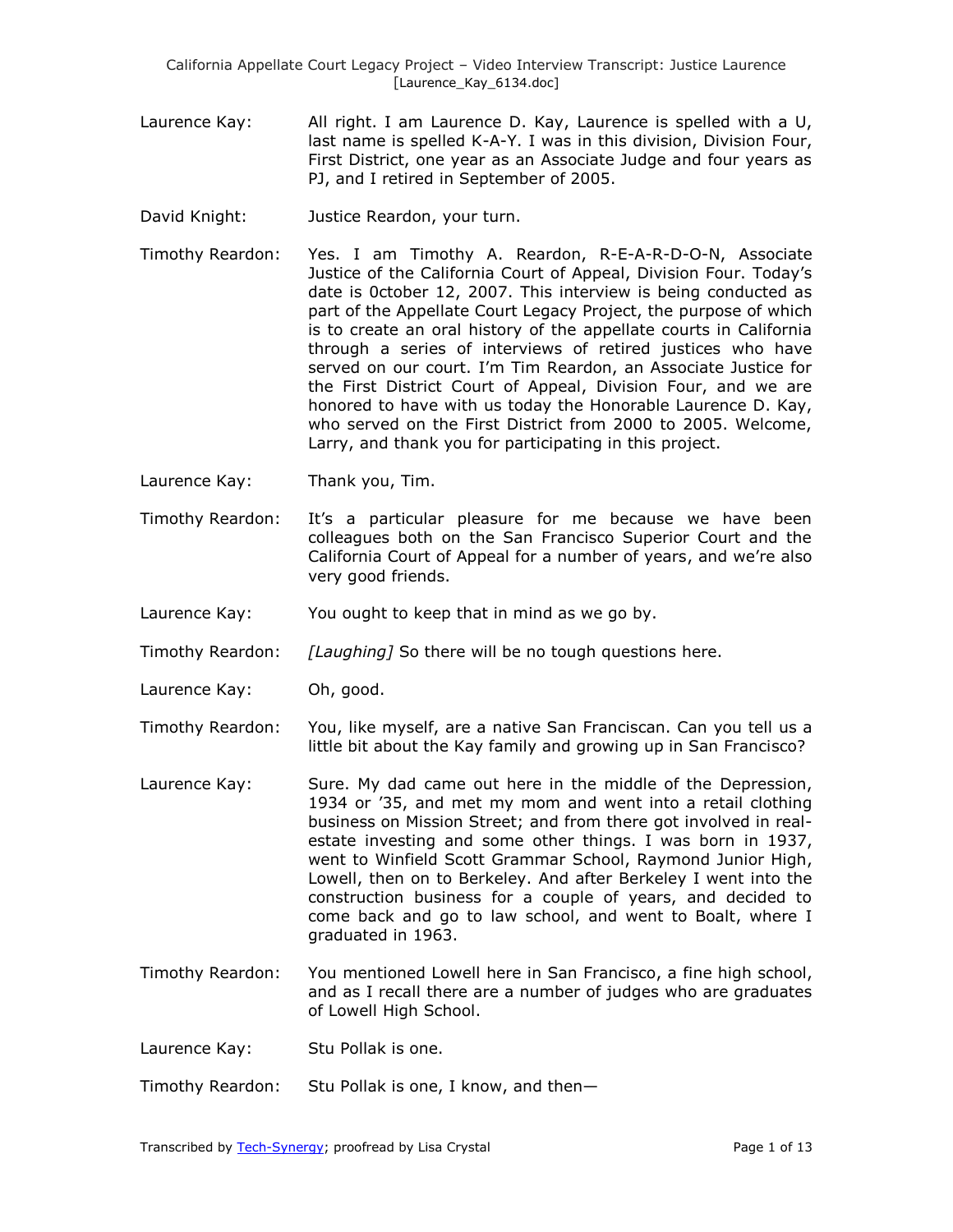- Laurence Kay: All right. I am Laurence D. Kay, Laurence is spelled with a U, last name is spelled K-A-Y. I was in this division, Division Four, First District, one year as an Associate Judge and four years as PJ, and I retired in September of 2005.
- David Knight: Justice Reardon, your turn.
- Timothy Reardon: Yes. I am Timothy A. Reardon, R-E-A-R-D-O-N, Associate Justice of the California Court of Appeal, Division Four. Today's date is 0ctober 12, 2007. This interview is being conducted as part of the Appellate Court Legacy Project, the purpose of which is to create an oral history of the appellate courts in California through a series of interviews of retired justices who have served on our court. I'm Tim Reardon, an Associate Justice for the First District Court of Appeal, Division Four, and we are honored to have with us today the Honorable Laurence D. Kay, who served on the First District from 2000 to 2005. Welcome, Larry, and thank you for participating in this project.
- Laurence Kay: Thank you, Tim.
- Timothy Reardon: It's a particular pleasure for me because we have been colleagues both on the San Francisco Superior Court and the California Court of Appeal for a number of years, and we're also very good friends.
- Laurence Kay: You ought to keep that in mind as we go by.
- Timothy Reardon: *[Laughing]* So there will be no tough questions here.
- Laurence Kay: Oh, good.
- Timothy Reardon: You, like myself, are a native San Franciscan. Can you tell us a little bit about the Kay family and growing up in San Francisco?
- Laurence Kay: Sure. My dad came out here in the middle of the Depression, 1934 or '35, and met my mom and went into a retail clothing business on Mission Street; and from there got involved in realestate investing and some other things. I was born in 1937, went to Winfield Scott Grammar School, Raymond Junior High, Lowell, then on to Berkeley. And after Berkeley I went into the construction business for a couple of years, and decided to come back and go to law school, and went to Boalt, where I graduated in 1963.
- Timothy Reardon: You mentioned Lowell here in San Francisco, a fine high school, and as I recall there are a number of judges who are graduates of Lowell High School.
- Laurence Kay: Stu Pollak is one.
- Timothy Reardon: Stu Pollak is one, I know, and then—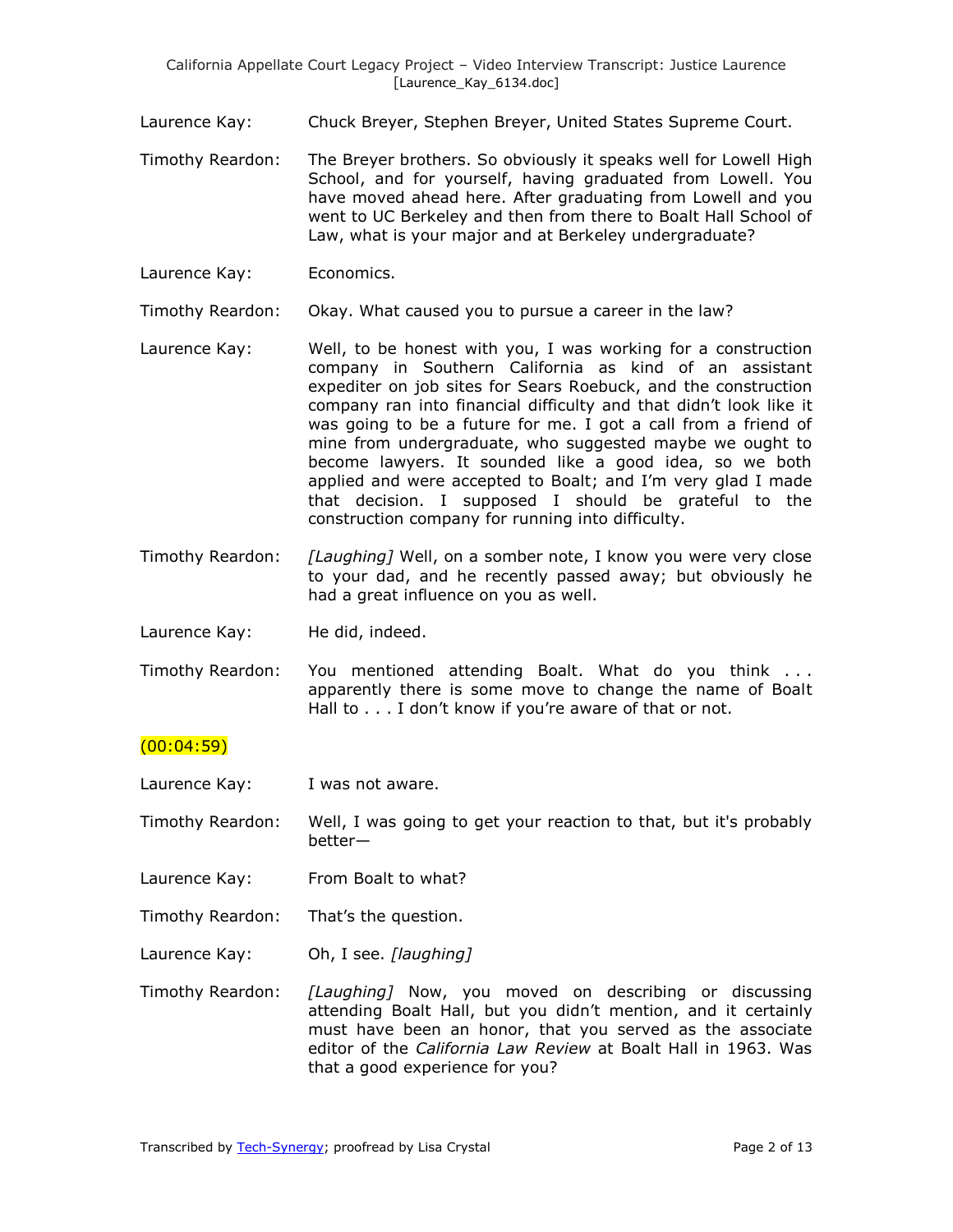Laurence Kay: Chuck Breyer, Stephen Breyer, United States Supreme Court.

- Timothy Reardon: The Breyer brothers. So obviously it speaks well for Lowell High School, and for yourself, having graduated from Lowell. You have moved ahead here. After graduating from Lowell and you went to UC Berkeley and then from there to Boalt Hall School of Law, what is your major and at Berkeley undergraduate?
- Laurence Kay: Economics.

Timothy Reardon: Okay. What caused you to pursue a career in the law?

- Laurence Kay: Well, to be honest with you, I was working for a construction company in Southern California as kind of an assistant expediter on job sites for Sears Roebuck, and the construction company ran into financial difficulty and that didn't look like it was going to be a future for me. I got a call from a friend of mine from undergraduate, who suggested maybe we ought to become lawyers. It sounded like a good idea, so we both applied and were accepted to Boalt; and I'm very glad I made that decision. I supposed I should be grateful to the construction company for running into difficulty.
- Timothy Reardon: *[Laughing]* Well, on a somber note, I know you were very close to your dad, and he recently passed away; but obviously he had a great influence on you as well.

Laurence Kay: He did, indeed.

Timothy Reardon: You mentioned attending Boalt. What do you think . . . apparently there is some move to change the name of Boalt Hall to . . . I don't know if you're aware of that or not.

## $(00:04:59)$

Laurence Kay: I was not aware.

Timothy Reardon: Well, I was going to get your reaction to that, but it's probably better—

- Laurence Kay: From Boalt to what?
- Timothy Reardon: That's the question.
- Laurence Kay: Oh, I see. *[laughing]*
- Timothy Reardon: *[Laughing]* Now, you moved on describing or discussing attending Boalt Hall, but you didn't mention, and it certainly must have been an honor, that you served as the associate editor of the *California Law Review* at Boalt Hall in 1963. Was that a good experience for you?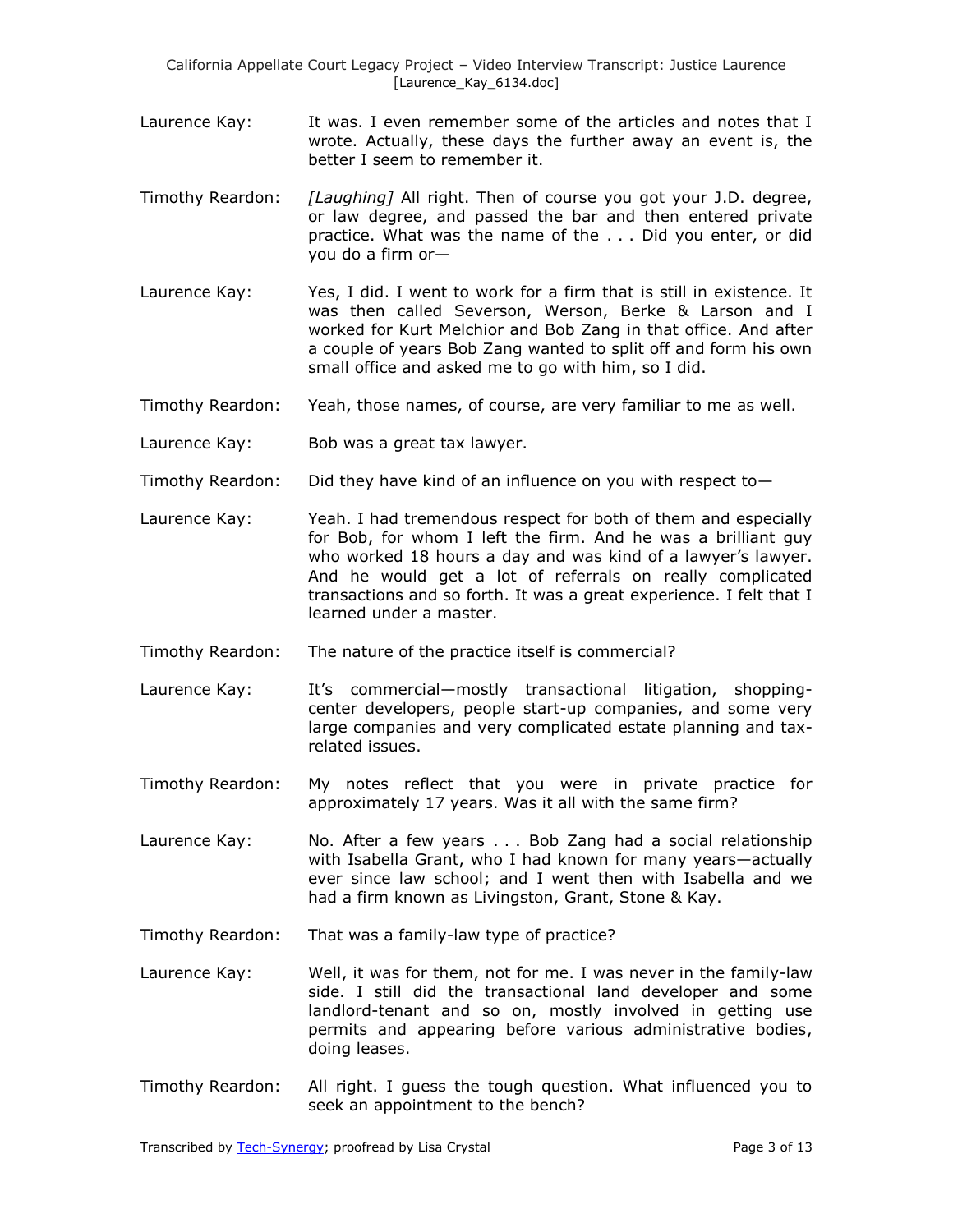California Appellate Court Legacy Project – Video Interview Transcript: Justice Laurence [Laurence\_Kay\_6134.doc]

- Laurence Kay: It was. I even remember some of the articles and notes that I wrote. Actually, these days the further away an event is, the better I seem to remember it.
- Timothy Reardon: *[Laughing]* All right. Then of course you got your J.D. degree, or law degree, and passed the bar and then entered private practice. What was the name of the . . . Did you enter, or did you do a firm or—
- Laurence Kay: Yes, I did. I went to work for a firm that is still in existence. It was then called Severson, Werson, Berke & Larson and I worked for Kurt Melchior and Bob Zang in that office. And after a couple of years Bob Zang wanted to split off and form his own small office and asked me to go with him, so I did.
- Timothy Reardon: Yeah, those names, of course, are very familiar to me as well.
- Laurence Kay: Bob was a great tax lawyer.
- Timothy Reardon: Did they have kind of an influence on you with respect to—
- Laurence Kay: Yeah. I had tremendous respect for both of them and especially for Bob, for whom I left the firm. And he was a brilliant guy who worked 18 hours a day and was kind of a lawyer's lawyer. And he would get a lot of referrals on really complicated transactions and so forth. It was a great experience. I felt that I learned under a master.
- Timothy Reardon: The nature of the practice itself is commercial?
- Laurence Kay: It's commercial—mostly transactional litigation, shoppingcenter developers, people start-up companies, and some very large companies and very complicated estate planning and taxrelated issues.
- Timothy Reardon: My notes reflect that you were in private practice for approximately 17 years. Was it all with the same firm?
- Laurence Kay: No. After a few years . . . Bob Zang had a social relationship with Isabella Grant, who I had known for many years—actually ever since law school; and I went then with Isabella and we had a firm known as Livingston, Grant, Stone & Kay.
- Timothy Reardon: That was a family-law type of practice?
- Laurence Kay: Well, it was for them, not for me. I was never in the family-law side. I still did the transactional land developer and some landlord-tenant and so on, mostly involved in getting use permits and appearing before various administrative bodies, doing leases.
- Timothy Reardon: All right. I guess the tough question. What influenced you to seek an appointment to the bench?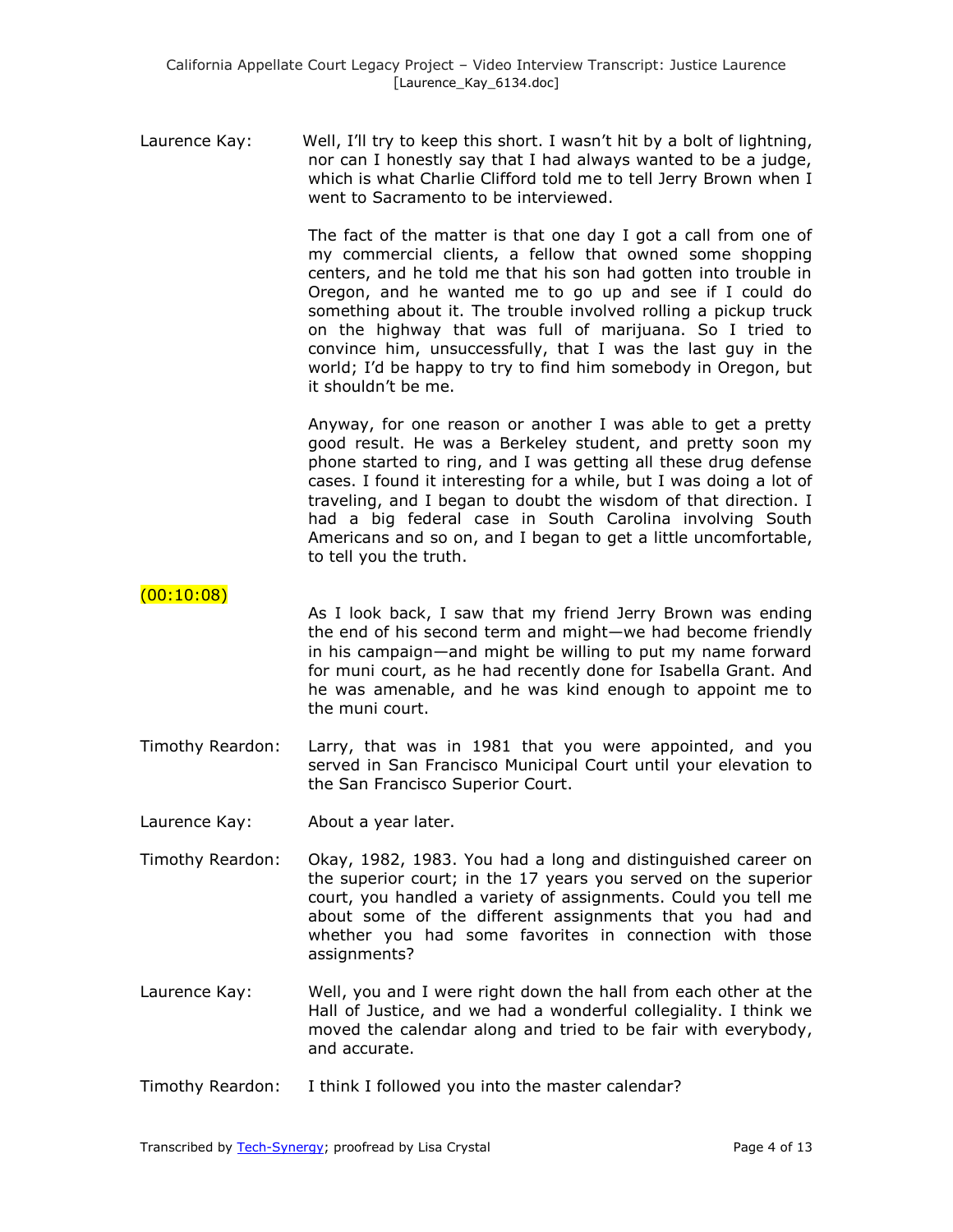Laurence Kay: Well, I'll try to keep this short. I wasn't hit by a bolt of lightning, nor can I honestly say that I had always wanted to be a judge, which is what Charlie Clifford told me to tell Jerry Brown when I went to Sacramento to be interviewed.

> The fact of the matter is that one day I got a call from one of my commercial clients, a fellow that owned some shopping centers, and he told me that his son had gotten into trouble in Oregon, and he wanted me to go up and see if I could do something about it. The trouble involved rolling a pickup truck on the highway that was full of marijuana. So I tried to convince him, unsuccessfully, that I was the last guy in the world; I'd be happy to try to find him somebody in Oregon, but it shouldn't be me.

> Anyway, for one reason or another I was able to get a pretty good result. He was a Berkeley student, and pretty soon my phone started to ring, and I was getting all these drug defense cases. I found it interesting for a while, but I was doing a lot of traveling, and I began to doubt the wisdom of that direction. I had a big federal case in South Carolina involving South Americans and so on, and I began to get a little uncomfortable, to tell you the truth.

# $(00:10:08)$

- As I look back, I saw that my friend Jerry Brown was ending the end of his second term and might—we had become friendly in his campaign—and might be willing to put my name forward for muni court, as he had recently done for Isabella Grant. And he was amenable, and he was kind enough to appoint me to the muni court.
- Timothy Reardon: Larry, that was in 1981 that you were appointed, and you served in San Francisco Municipal Court until your elevation to the San Francisco Superior Court.
- Laurence Kay: About a year later.
- Timothy Reardon: Okay, 1982, 1983. You had a long and distinguished career on the superior court; in the 17 years you served on the superior court, you handled a variety of assignments. Could you tell me about some of the different assignments that you had and whether you had some favorites in connection with those assignments?
- Laurence Kay: Well, you and I were right down the hall from each other at the Hall of Justice, and we had a wonderful collegiality. I think we moved the calendar along and tried to be fair with everybody, and accurate.
- Timothy Reardon: I think I followed you into the master calendar?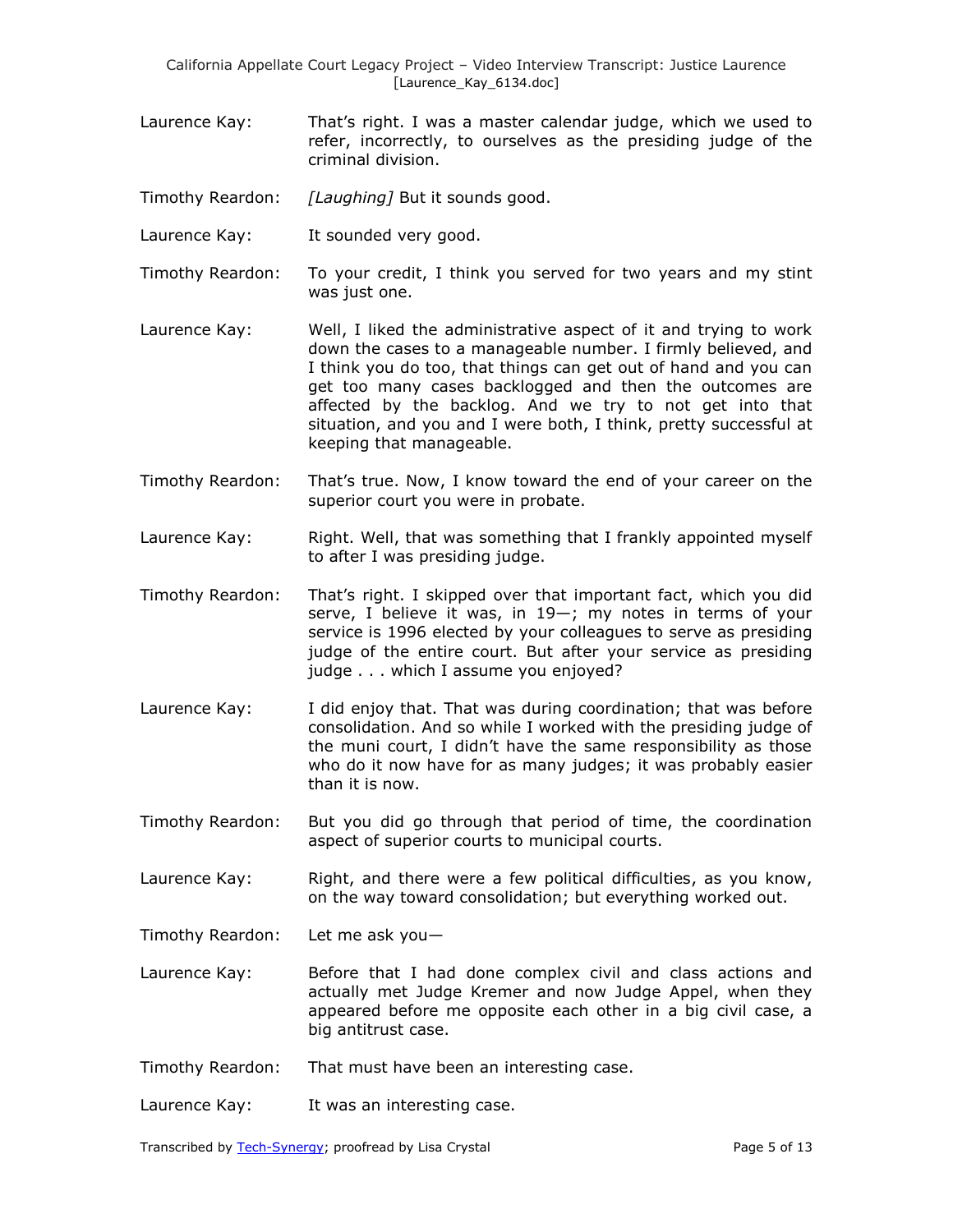- Laurence Kay: That's right. I was a master calendar judge, which we used to refer, incorrectly, to ourselves as the presiding judge of the criminal division.
- Timothy Reardon: *[Laughing]* But it sounds good.
- Laurence Kay: It sounded very good.
- Timothy Reardon: To your credit, I think you served for two years and my stint was just one.
- Laurence Kay: Well, I liked the administrative aspect of it and trying to work down the cases to a manageable number. I firmly believed, and I think you do too, that things can get out of hand and you can get too many cases backlogged and then the outcomes are affected by the backlog. And we try to not get into that situation, and you and I were both, I think, pretty successful at keeping that manageable.
- Timothy Reardon: That's true. Now, I know toward the end of your career on the superior court you were in probate.
- Laurence Kay: Right. Well, that was something that I frankly appointed myself to after I was presiding judge.
- Timothy Reardon: That's right. I skipped over that important fact, which you did serve, I believe it was, in 19—; my notes in terms of your service is 1996 elected by your colleagues to serve as presiding judge of the entire court. But after your service as presiding judge . . . which I assume you enjoyed?
- Laurence Kay: I did enjoy that. That was during coordination; that was before consolidation. And so while I worked with the presiding judge of the muni court, I didn't have the same responsibility as those who do it now have for as many judges; it was probably easier than it is now.
- Timothy Reardon: But you did go through that period of time, the coordination aspect of superior courts to municipal courts.
- Laurence Kay: Right, and there were a few political difficulties, as you know, on the way toward consolidation; but everything worked out.
- Timothy Reardon: Let me ask you—
- Laurence Kay: Before that I had done complex civil and class actions and actually met Judge Kremer and now Judge Appel, when they appeared before me opposite each other in a big civil case, a big antitrust case.
- Timothy Reardon: That must have been an interesting case.
- Laurence Kay: It was an interesting case.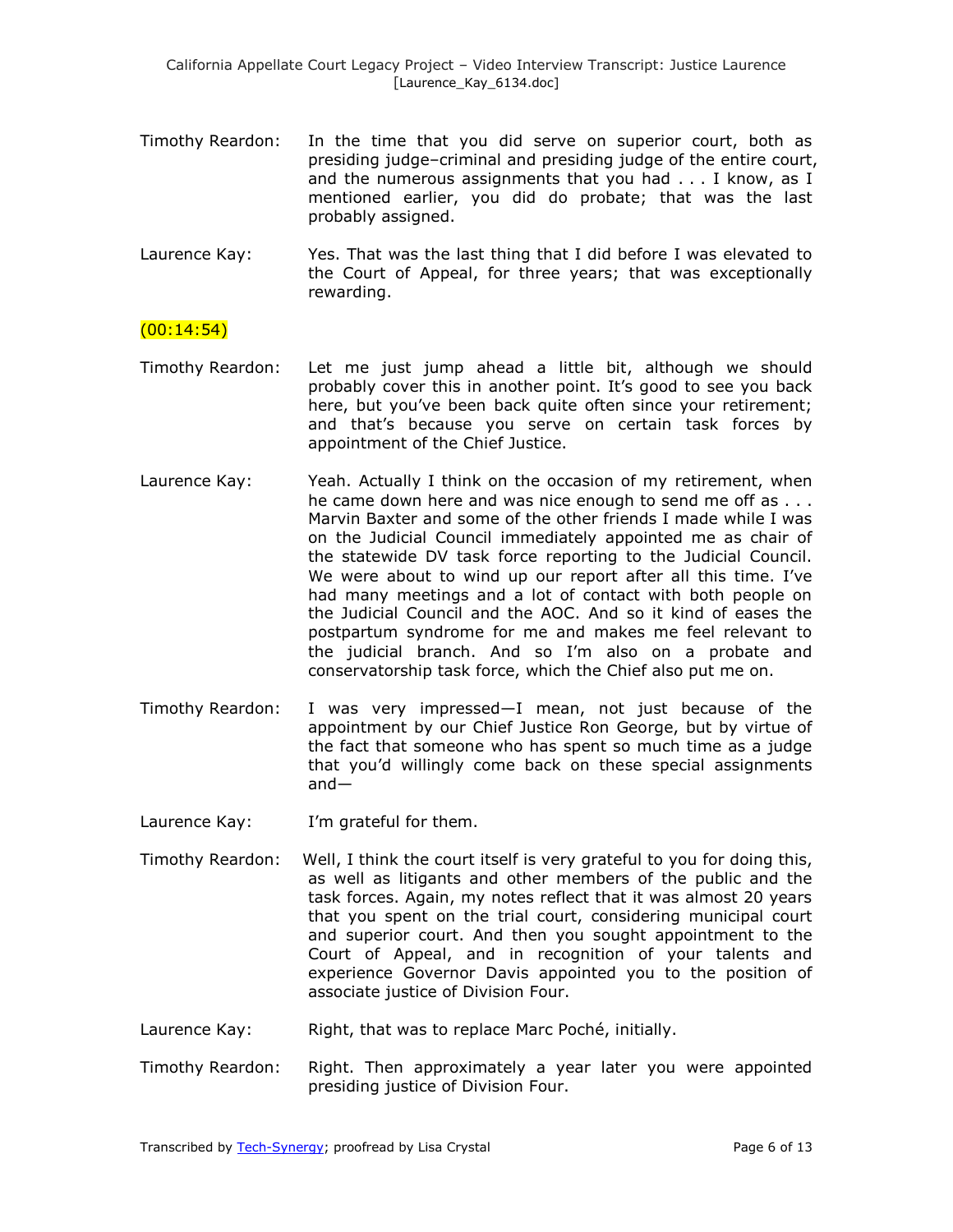- Timothy Reardon: In the time that you did serve on superior court, both as presiding judge–criminal and presiding judge of the entire court, and the numerous assignments that you had . . . I know, as I mentioned earlier, you did do probate; that was the last probably assigned.
- Laurence Kay: Yes. That was the last thing that I did before I was elevated to the Court of Appeal, for three years; that was exceptionally rewarding.

# $(00:14:54)$

- Timothy Reardon: Let me just jump ahead a little bit, although we should probably cover this in another point. It's good to see you back here, but you've been back quite often since your retirement; and that's because you serve on certain task forces by appointment of the Chief Justice.
- Laurence Kay: Yeah. Actually I think on the occasion of my retirement, when he came down here and was nice enough to send me off as . . . Marvin Baxter and some of the other friends I made while I was on the Judicial Council immediately appointed me as chair of the statewide DV task force reporting to the Judicial Council. We were about to wind up our report after all this time. I've had many meetings and a lot of contact with both people on the Judicial Council and the AOC. And so it kind of eases the postpartum syndrome for me and makes me feel relevant to the judicial branch. And so I'm also on a probate and conservatorship task force, which the Chief also put me on.
- Timothy Reardon: I was very impressed—I mean, not just because of the appointment by our Chief Justice Ron George, but by virtue of the fact that someone who has spent so much time as a judge that you'd willingly come back on these special assignments and—
- Laurence Kay: I'm grateful for them.
- Timothy Reardon: Well, I think the court itself is very grateful to you for doing this, as well as litigants and other members of the public and the task forces. Again, my notes reflect that it was almost 20 years that you spent on the trial court, considering municipal court and superior court. And then you sought appointment to the Court of Appeal, and in recognition of your talents and experience Governor Davis appointed you to the position of associate justice of Division Four.
- Laurence Kay: Right, that was to replace Marc Poché, initially.
- Timothy Reardon: Right. Then approximately a year later you were appointed presiding justice of Division Four.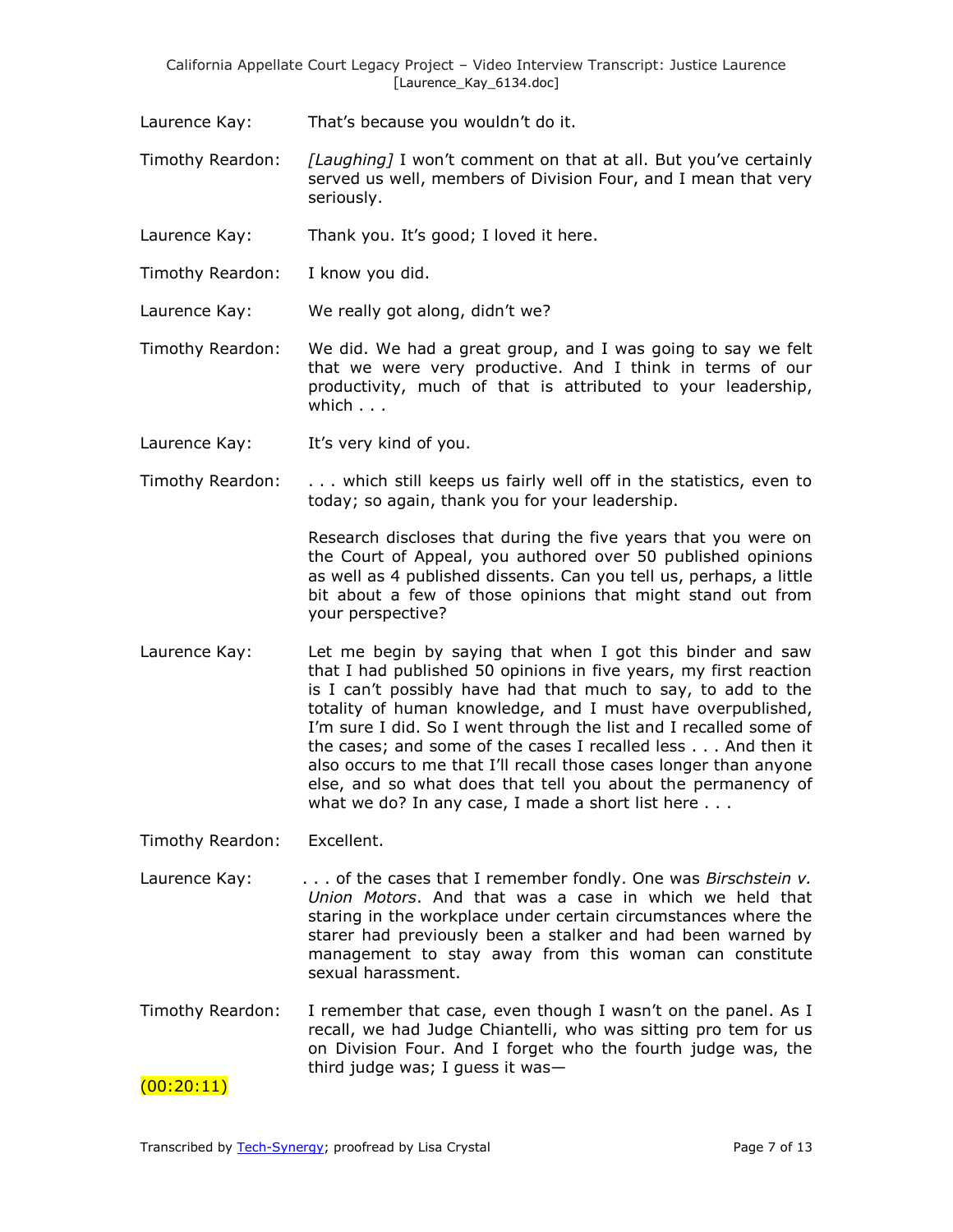Laurence Kay: That's because you wouldn't do it.

- Timothy Reardon: *[Laughing]* I won't comment on that at all. But you've certainly served us well, members of Division Four, and I mean that very seriously.
- Laurence Kay: Thank you. It's good; I loved it here.
- Timothy Reardon: I know you did.
- Laurence Kay: We really got along, didn't we?
- Timothy Reardon: We did. We had a great group, and I was going to say we felt that we were very productive. And I think in terms of our productivity, much of that is attributed to your leadership, which . . .
- Laurence Kay: It's very kind of you.
- Timothy Reardon: . . . which still keeps us fairly well off in the statistics, even to today; so again, thank you for your leadership.

Research discloses that during the five years that you were on the Court of Appeal, you authored over 50 published opinions as well as 4 published dissents. Can you tell us, perhaps, a little bit about a few of those opinions that might stand out from your perspective?

Laurence Kay: Let me begin by saying that when I got this binder and saw that I had published 50 opinions in five years, my first reaction is I can't possibly have had that much to say, to add to the totality of human knowledge, and I must have overpublished, I'm sure I did. So I went through the list and I recalled some of the cases; and some of the cases I recalled less . . . And then it also occurs to me that I'll recall those cases longer than anyone else, and so what does that tell you about the permanency of what we do? In any case, I made a short list here . . .

Timothy Reardon: Excellent.

- Laurence Kay:  $\ldots$  of the cases that I remember fondly. One was *Birschstein v. Union Motors*. And that was a case in which we held that staring in the workplace under certain circumstances where the starer had previously been a stalker and had been warned by management to stay away from this woman can constitute sexual harassment.
- Timothy Reardon: I remember that case, even though I wasn't on the panel. As I recall, we had Judge Chiantelli, who was sitting pro tem for us on Division Four. And I forget who the fourth judge was, the third judge was; I guess it was—

 $(00:20:11)$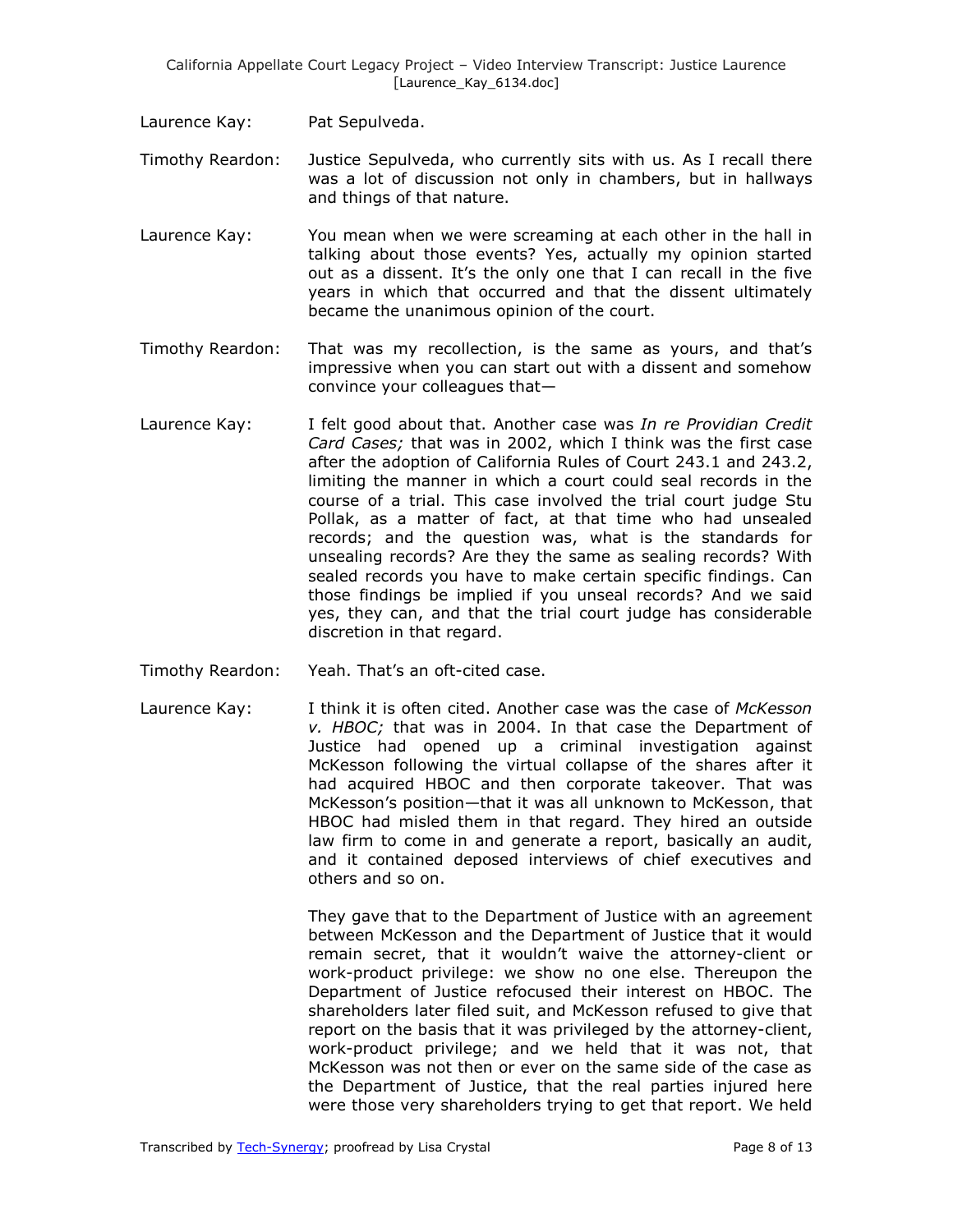- Laurence Kay: Pat Sepulveda.
- Timothy Reardon: Justice Sepulveda, who currently sits with us. As I recall there was a lot of discussion not only in chambers, but in hallways and things of that nature.
- Laurence Kay: You mean when we were screaming at each other in the hall in talking about those events? Yes, actually my opinion started out as a dissent. It's the only one that I can recall in the five years in which that occurred and that the dissent ultimately became the unanimous opinion of the court.
- Timothy Reardon: That was my recollection, is the same as yours, and that's impressive when you can start out with a dissent and somehow convince your colleagues that—
- Laurence Kay: I felt good about that. Another case was *In re Providian Credit Card Cases;* that was in 2002, which I think was the first case after the adoption of California Rules of Court 243.1 and 243.2, limiting the manner in which a court could seal records in the course of a trial. This case involved the trial court judge Stu Pollak, as a matter of fact, at that time who had unsealed records; and the question was, what is the standards for unsealing records? Are they the same as sealing records? With sealed records you have to make certain specific findings. Can those findings be implied if you unseal records? And we said yes, they can, and that the trial court judge has considerable discretion in that regard.
- Timothy Reardon: Yeah. That's an oft-cited case.
- Laurence Kay: I think it is often cited. Another case was the case of *McKesson v. HBOC;* that was in 2004. In that case the Department of Justice had opened up a criminal investigation against McKesson following the virtual collapse of the shares after it had acquired HBOC and then corporate takeover. That was McKesson's position—that it was all unknown to McKesson, that HBOC had misled them in that regard. They hired an outside law firm to come in and generate a report, basically an audit, and it contained deposed interviews of chief executives and others and so on.

They gave that to the Department of Justice with an agreement between McKesson and the Department of Justice that it would remain secret, that it wouldn't waive the attorney-client or work-product privilege: we show no one else. Thereupon the Department of Justice refocused their interest on HBOC. The shareholders later filed suit, and McKesson refused to give that report on the basis that it was privileged by the attorney-client, work-product privilege; and we held that it was not, that McKesson was not then or ever on the same side of the case as the Department of Justice, that the real parties injured here were those very shareholders trying to get that report. We held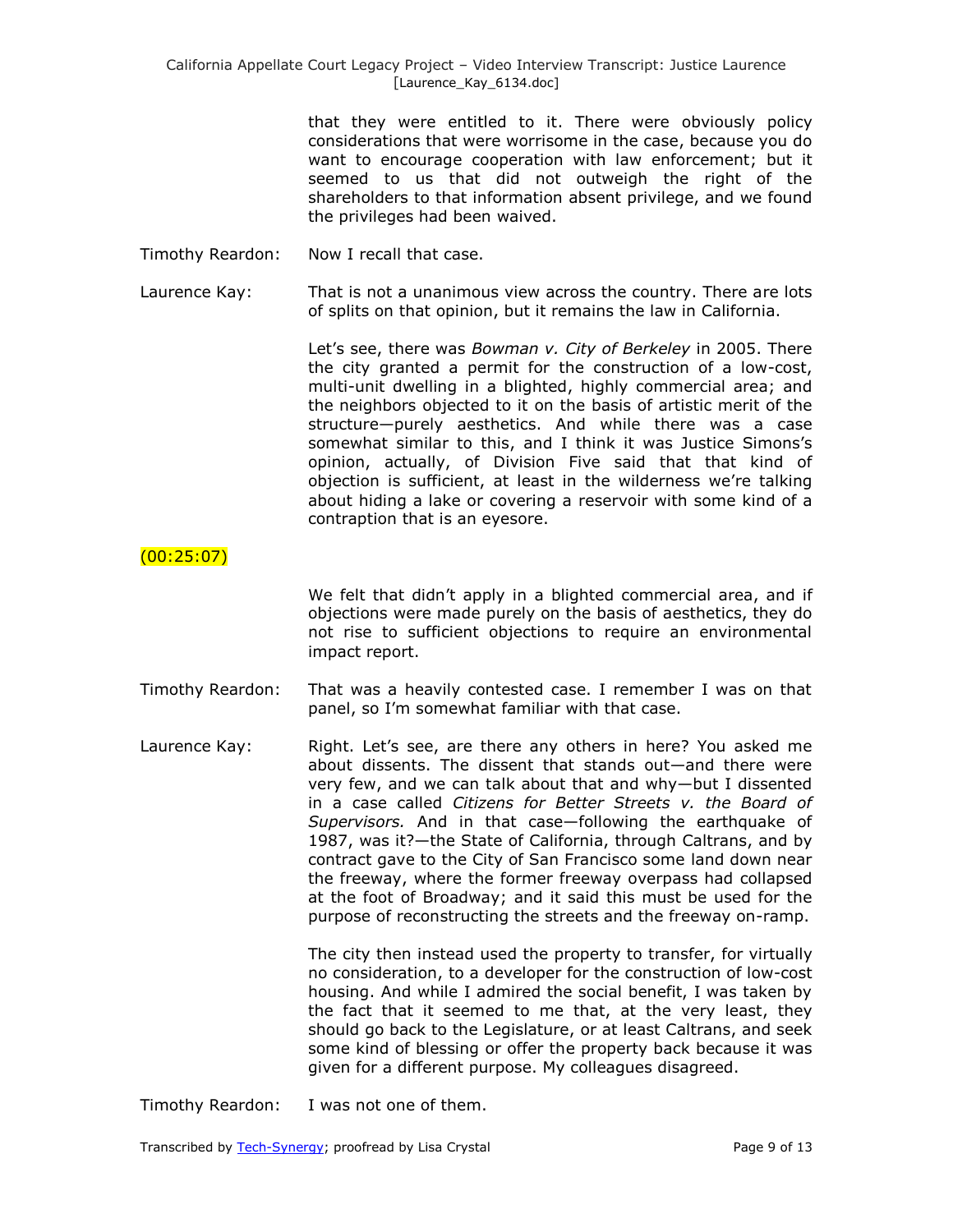that they were entitled to it. There were obviously policy considerations that were worrisome in the case, because you do want to encourage cooperation with law enforcement; but it seemed to us that did not outweigh the right of the shareholders to that information absent privilege, and we found the privileges had been waived.

Timothy Reardon: Now I recall that case.

Laurence Kay: That is not a unanimous view across the country. There are lots of splits on that opinion, but it remains the law in California.

> Let's see, there was *Bowman v. City of Berkeley* in 2005. There the city granted a permit for the construction of a low-cost, multi-unit dwelling in a blighted, highly commercial area; and the neighbors objected to it on the basis of artistic merit of the structure—purely aesthetics. And while there was a case somewhat similar to this, and I think it was Justice Simons's opinion, actually, of Division Five said that that kind of objection is sufficient, at least in the wilderness we're talking about hiding a lake or covering a reservoir with some kind of a contraption that is an eyesore.

# $(00:25:07)$

We felt that didn't apply in a blighted commercial area, and if objections were made purely on the basis of aesthetics, they do not rise to sufficient objections to require an environmental impact report.

- Timothy Reardon: That was a heavily contested case. I remember I was on that panel, so I'm somewhat familiar with that case.
- Laurence Kay: Right. Let's see, are there any others in here? You asked me about dissents. The dissent that stands out—and there were very few, and we can talk about that and why—but I dissented in a case called *Citizens for Better Streets v. the Board of Supervisors.* And in that case—following the earthquake of 1987, was it?—the State of California, through Caltrans, and by contract gave to the City of San Francisco some land down near the freeway, where the former freeway overpass had collapsed at the foot of Broadway; and it said this must be used for the purpose of reconstructing the streets and the freeway on-ramp.

The city then instead used the property to transfer, for virtually no consideration, to a developer for the construction of low-cost housing. And while I admired the social benefit, I was taken by the fact that it seemed to me that, at the very least, they should go back to the Legislature, or at least Caltrans, and seek some kind of blessing or offer the property back because it was given for a different purpose. My colleagues disagreed.

Timothy Reardon: I was not one of them.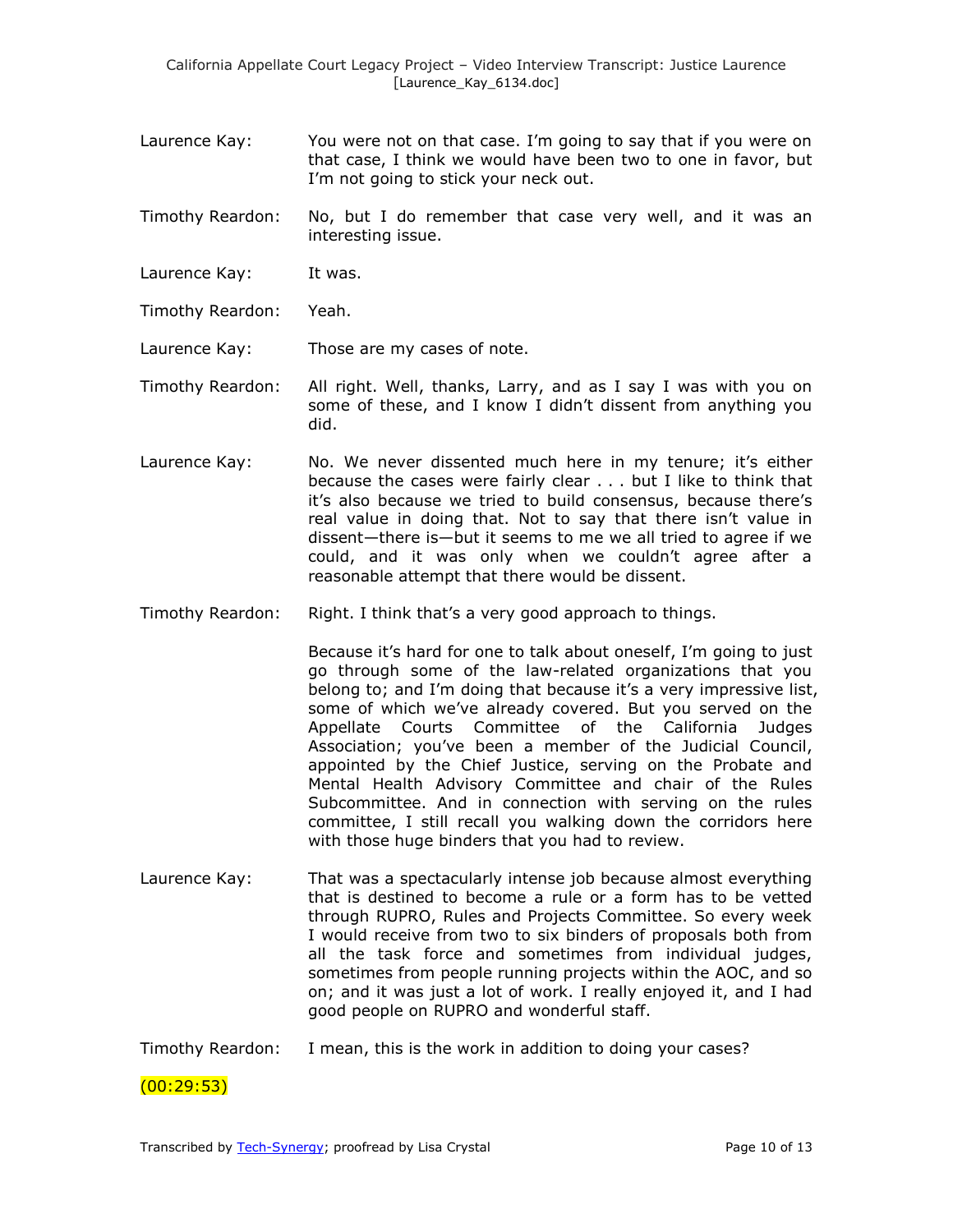- Laurence Kay: You were not on that case. I'm going to say that if you were on that case, I think we would have been two to one in favor, but I'm not going to stick your neck out.
- Timothy Reardon: No, but I do remember that case very well, and it was an interesting issue.
- Laurence Kay: It was.
- Timothy Reardon: Yeah.
- Laurence Kay: Those are my cases of note.
- Timothy Reardon: All right. Well, thanks, Larry, and as I say I was with you on some of these, and I know I didn't dissent from anything you did.
- Laurence Kay: No. We never dissented much here in my tenure; it's either because the cases were fairly clear . . . but I like to think that it's also because we tried to build consensus, because there's real value in doing that. Not to say that there isn't value in dissent—there is—but it seems to me we all tried to agree if we could, and it was only when we couldn't agree after a reasonable attempt that there would be dissent.
- Timothy Reardon: Right. I think that's a very good approach to things.

Because it's hard for one to talk about oneself, I'm going to just go through some of the law-related organizations that you belong to; and I'm doing that because it's a very impressive list, some of which we've already covered. But you served on the Appellate Courts Committee of the California Judges Association; you've been a member of the Judicial Council, appointed by the Chief Justice, serving on the Probate and Mental Health Advisory Committee and chair of the Rules Subcommittee. And in connection with serving on the rules committee, I still recall you walking down the corridors here with those huge binders that you had to review.

- Laurence Kay: That was a spectacularly intense job because almost everything that is destined to become a rule or a form has to be vetted through RUPRO, Rules and Projects Committee. So every week I would receive from two to six binders of proposals both from all the task force and sometimes from individual judges, sometimes from people running projects within the AOC, and so on; and it was just a lot of work. I really enjoyed it, and I had good people on RUPRO and wonderful staff.
- Timothy Reardon: I mean, this is the work in addition to doing your cases?

 $(00:29:53)$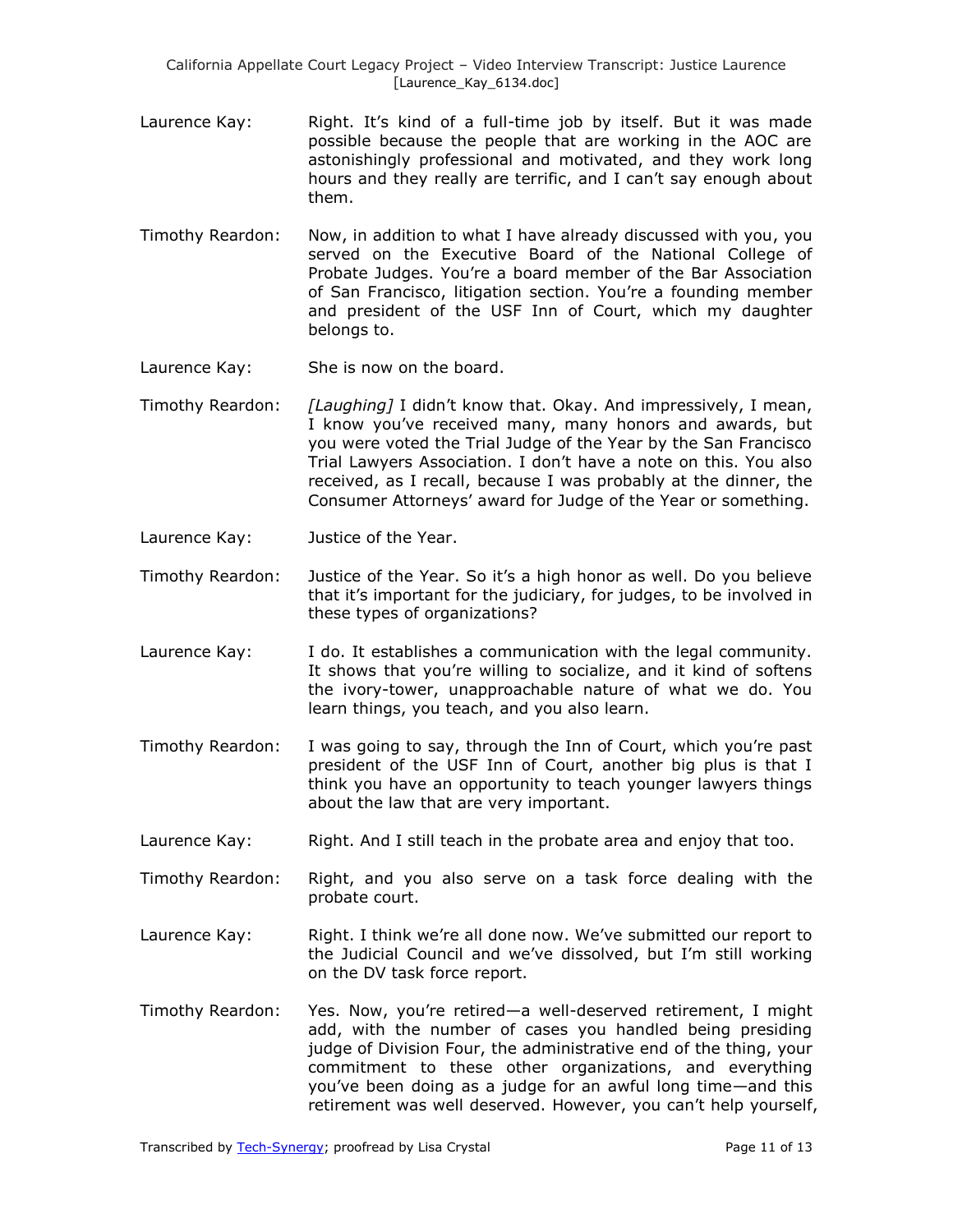California Appellate Court Legacy Project – Video Interview Transcript: Justice Laurence [Laurence\_Kay\_6134.doc]

- Laurence Kay: Fight. It's kind of a full-time job by itself. But it was made possible because the people that are working in the AOC are astonishingly professional and motivated, and they work long hours and they really are terrific, and I can't say enough about them.
- Timothy Reardon: Now, in addition to what I have already discussed with you, you served on the Executive Board of the National College of Probate Judges. You're a board member of the Bar Association of San Francisco, litigation section. You're a founding member and president of the USF Inn of Court, which my daughter belongs to.
- Laurence Kay: She is now on the board.
- Timothy Reardon: *[Laughing]* I didn't know that. Okay. And impressively, I mean, I know you've received many, many honors and awards, but you were voted the Trial Judge of the Year by the San Francisco Trial Lawyers Association. I don't have a note on this. You also received, as I recall, because I was probably at the dinner, the Consumer Attorneys' award for Judge of the Year or something.
- Laurence Kay: Justice of the Year.
- Timothy Reardon: Justice of the Year. So it's a high honor as well. Do you believe that it's important for the judiciary, for judges, to be involved in these types of organizations?
- Laurence Kay: I do. It establishes a communication with the legal community. It shows that you're willing to socialize, and it kind of softens the ivory-tower, unapproachable nature of what we do. You learn things, you teach, and you also learn.
- Timothy Reardon: I was going to say, through the Inn of Court, which you're past president of the USF Inn of Court, another big plus is that I think you have an opportunity to teach younger lawyers things about the law that are very important.
- Laurence Kay: Right. And I still teach in the probate area and enjoy that too.
- Timothy Reardon: Right, and you also serve on a task force dealing with the probate court.
- Laurence Kay: Right. I think we're all done now. We've submitted our report to the Judicial Council and we've dissolved, but I'm still working on the DV task force report.
- Timothy Reardon: Yes. Now, you're retired—a well-deserved retirement, I might add, with the number of cases you handled being presiding judge of Division Four, the administrative end of the thing, your commitment to these other organizations, and everything you've been doing as a judge for an awful long time—and this retirement was well deserved. However, you can't help yourself,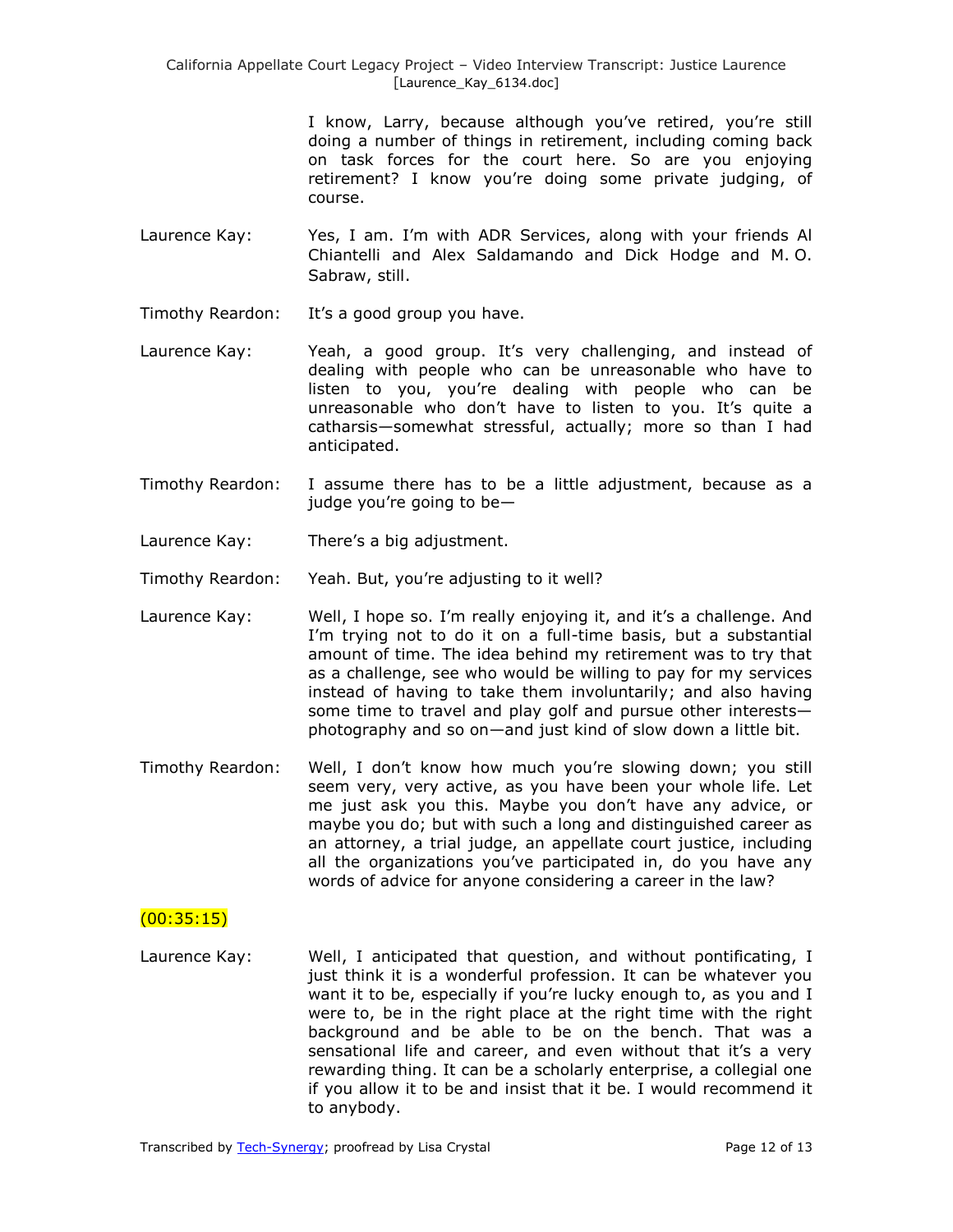California Appellate Court Legacy Project – Video Interview Transcript: Justice Laurence [Laurence\_Kay\_6134.doc]

> I know, Larry, because although you've retired, you're still doing a number of things in retirement, including coming back on task forces for the court here. So are you enjoying retirement? I know you're doing some private judging, of course.

- Laurence Kay: Yes, I am. I'm with ADR Services, along with your friends Al Chiantelli and Alex Saldamando and Dick Hodge and M. O. Sabraw, still.
- Timothy Reardon: It's a good group you have.
- Laurence Kay: Yeah, a good group. It's very challenging, and instead of dealing with people who can be unreasonable who have to listen to you, you're dealing with people who can be unreasonable who don't have to listen to you. It's quite a catharsis—somewhat stressful, actually; more so than I had anticipated.
- Timothy Reardon: I assume there has to be a little adjustment, because as a judge you're going to be—
- Laurence Kay: There's a big adjustment.

Timothy Reardon: Yeah. But, you're adjusting to it well?

- Laurence Kay: Well, I hope so. I'm really enjoying it, and it's a challenge. And I'm trying not to do it on a full-time basis, but a substantial amount of time. The idea behind my retirement was to try that as a challenge, see who would be willing to pay for my services instead of having to take them involuntarily; and also having some time to travel and play golf and pursue other interests photography and so on—and just kind of slow down a little bit.
- Timothy Reardon: Well, I don't know how much you're slowing down; you still seem very, very active, as you have been your whole life. Let me just ask you this. Maybe you don't have any advice, or maybe you do; but with such a long and distinguished career as an attorney, a trial judge, an appellate court justice, including all the organizations you've participated in, do you have any words of advice for anyone considering a career in the law?

## $(00:35:15)$

Laurence Kay: Well, I anticipated that question, and without pontificating, I just think it is a wonderful profession. It can be whatever you want it to be, especially if you're lucky enough to, as you and I were to, be in the right place at the right time with the right background and be able to be on the bench. That was a sensational life and career, and even without that it's a very rewarding thing. It can be a scholarly enterprise, a collegial one if you allow it to be and insist that it be. I would recommend it to anybody.